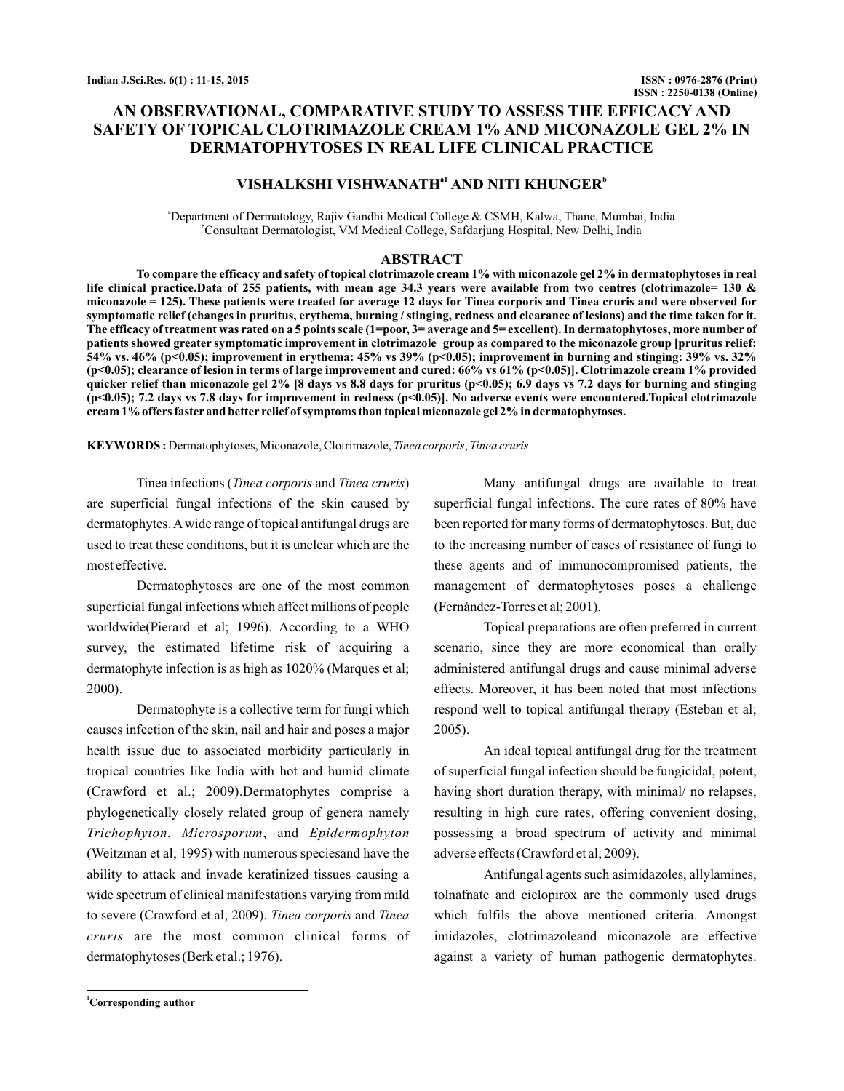# **AN OBSERVATIONAL, COMPARATIVE STUDY TO ASSESS THE EFFICACY AND SAFETY OF TOPICAL CLOTRIMAZOLE CREAM 1% AND MICONAZOLE GEL 2% IN DERMATOPHYTOSES IN REAL LIFE CLINICAL PRACTICE**

## $VISHALKSHI VISHWANATH<sup>a1</sup> AND NITI KHUNGER<sup>b</sup>$

<sup>a</sup>Department of Dermatology, Rajiv Gandhi Medical College & CSMH, Kalwa, Thane, Mumbai, India b Consultant Dermatologist, VM Medical College, Safdarjung Hospital, New Delhi, India

#### **ABSTRACT**

**To compare the efficacy and safety of topical clotrimazole cream 1% with miconazole gel 2% in dermatophytoses in real life clinical practice.Data of 255 patients, with mean age 34.3 years were available from two centres (clotrimazole= 130 & miconazole = 125). These patients were treated for average 12 days for Tinea corporis and Tinea cruris and were observed for symptomatic relief (changes in pruritus, erythema, burning / stinging, redness and clearance of lesions) and the time taken for it. The efficacy of treatment was rated on a 5 points scale (1=poor, 3= average and 5= excellent). In dermatophytoses, more number of patients showed greater symptomatic improvement in clotrimazole group as compared to the miconazole group [pruritus relief: 54% vs. 46% (p<0.05); improvement in erythema: 45% vs 39% (p<0.05); improvement in burning and stinging: 39% vs. 32% (p<0.05); clearance of lesion in terms of large improvement and cured: 66% vs 61% (p<0.05)]. Clotrimazole cream 1% provided quicker relief than miconazole gel 2% [8 days vs 8.8 days for pruritus (p<0.05); 6.9 days vs 7.2 days for burning and stinging (p<0.05); 7.2 days vs 7.8 days for improvement in redness (p<0.05)]. No adverse events were encountered.Topical clotrimazole cream 1% offers faster and better relief of symptoms than topical miconazole gel 2% in dermatophytoses.**

KEYWORDS: Dermatophytoses, Miconazole, Clotrimazole, Tinea corporis, Tinea cruris

Tinea infections (Tinea corporis and Tinea cruris) are superficial fungal infections of the skin caused by dermatophytes.Awide range of topical antifungal drugs are used to treat these conditions, but it is unclear which are the most effective.

Dermatophytoses are one of the most common superficial fungal infections which affect millions of people worldwide(Pierard et al; 1996). According to a WHO survey, the estimated lifetime risk of acquiring a dermatophyte infection is as high as 1020% (Marques et al; 2000).

Dermatophyte is a collective term for fungi which causes infection of the skin, nail and hair and poses a major health issue due to associated morbidity particularly in tropical countries like India with hot and humid climate (Crawford et al.; 2009).Dermatophytes comprise a phylogenetically closely related group of genera namely , , and *Trichophyton Microsporum Epidermophyton* (Weitzman et al; 1995) with numerous speciesand have the ability to attack and invade keratinized tissues causing a wide spectrum of clinical manifestations varying from mild to severe (Crawford et al; 2009). Tinea corporis and Tinea cruris are the most common clinical forms of dermatophytoses (Berk et al.; 1976).

Many antifungal drugs are available to treat superficial fungal infections. The cure rates of 80% have been reported for many forms of dermatophytoses. But, due to the increasing number of cases of resistance of fungi to these agents and of immunocompromised patients, the management of dermatophytoses poses a challenge (Fernández-Torres et al; 2001).

Topical preparations are often preferred in current scenario, since they are more economical than orally administered antifungal drugs and cause minimal adverse effects. Moreover, it has been noted that most infections respond well to topical antifungal therapy (Esteban et al; 2005).

An ideal topical antifungal drug for the treatment of superficial fungal infection should be fungicidal, potent, having short duration therapy, with minimal/ no relapses, resulting in high cure rates, offering convenient dosing, possessing a broad spectrum of activity and minimal adverse effects (Crawford et al; 2009).

Antifungal agents such asimidazoles, allylamines, tolnafnate and ciclopirox are the commonly used drugs which fulfils the above mentioned criteria. Amongst imidazoles, clotrimazoleand miconazole are effective against a variety of human pathogenic dermatophytes.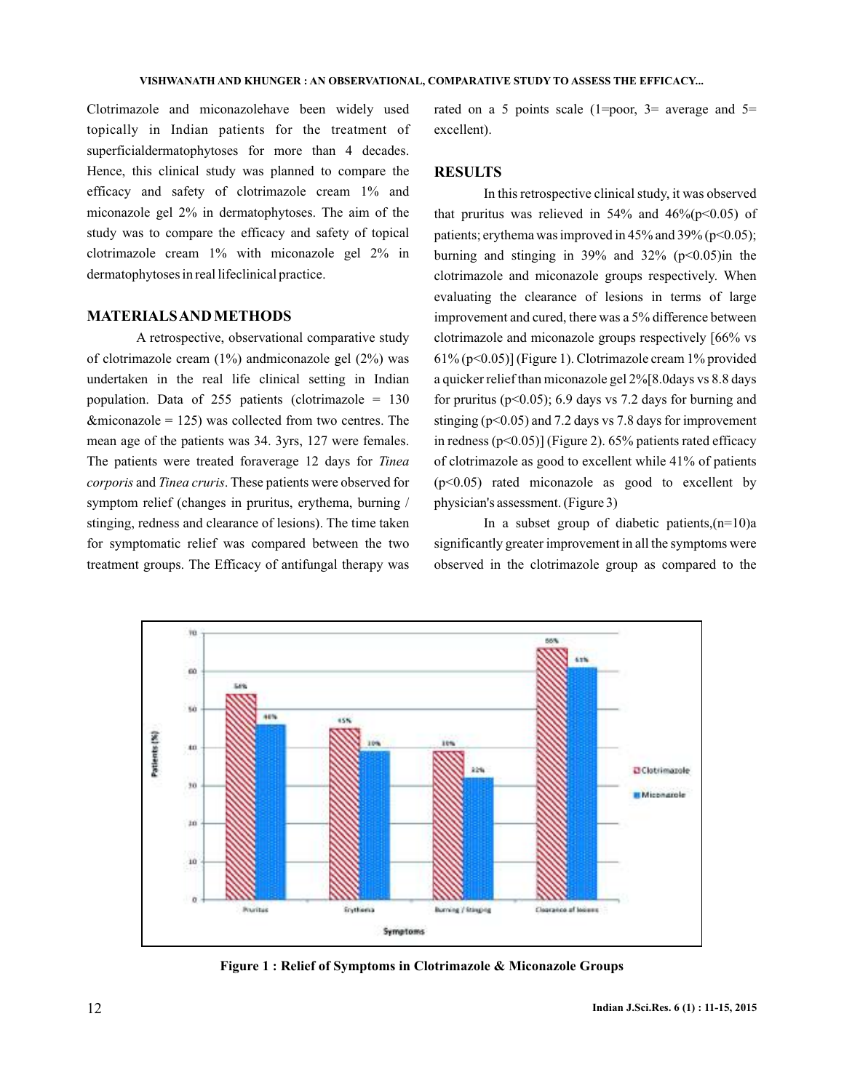Clotrimazole and miconazolehave been widely used topically in Indian patients for the treatment of superficialdermatophytoses for more than 4 decades. Hence, this clinical study was planned to compare the efficacy and safety of clotrimazole cream 1% and miconazole gel 2% in dermatophytoses. The aim of the study was to compare the efficacy and safety of topical clotrimazole cream 1% with miconazole gel 2% in dermatophytoses in real lifeclinical practice.

### **MATERIALSAND METHODS**

A retrospective, observational comparative study of clotrimazole cream  $(1\%)$  andmiconazole gel  $(2\%)$  was undertaken in the real life clinical setting in Indian population. Data of 255 patients (clotrimazole  $= 130$  $&$  miconazole = 125) was collected from two centres. The mean age of the patients was 34. 3yrs, 127 were females. The patients were treated foraverage 12 days for *Tinea* corporis and Tinea cruris. These patients were observed for symptom relief (changes in pruritus, erythema, burning / stinging, redness and clearance of lesions). The time taken for symptomatic relief was compared between the two treatment groups. The Efficacy of antifungal therapy was rated on a 5 points scale  $(1=poor, 3=$  average and  $5=$ excellent).

### **RESULTS**

In this retrospective clinical study, it was observed that pruritus was relieved in  $54\%$  and  $46\%(p<0.05)$  of patients; erythema was improved in  $45\%$  and  $39\%$  (p<0.05); burning and stinging in 39% and 32% ( $p<0.05$ )in the clotrimazole and miconazole groups respectively. When evaluating the clearance of lesions in terms of large improvement and cured, there was a 5% difference between clotrimazole and miconazole groups respectively [66% vs 61% (p<0.05)] (Figure 1). Clotrimazole cream 1% provided a quicker relief than miconazole gel 2%[8.0days vs 8.8 days for pruritus ( $p<0.05$ ); 6.9 days vs 7.2 days for burning and stinging ( $p<0.05$ ) and 7.2 days vs 7.8 days for improvement in redness  $(p<0.05)$ ] (Figure 2). 65% patients rated efficacy of clotrimazole as good to excellent while 41% of patients (p<0.05) rated miconazole as good to excellent by physician's assessment. (Figure 3)

In a subset group of diabetic patients,  $(n=10)a$ significantly greater improvement in all the symptoms were observed in the clotrimazole group as compared to the



**Figure 1 : Relief of Symptoms in Clotrimazole & Miconazole Groups**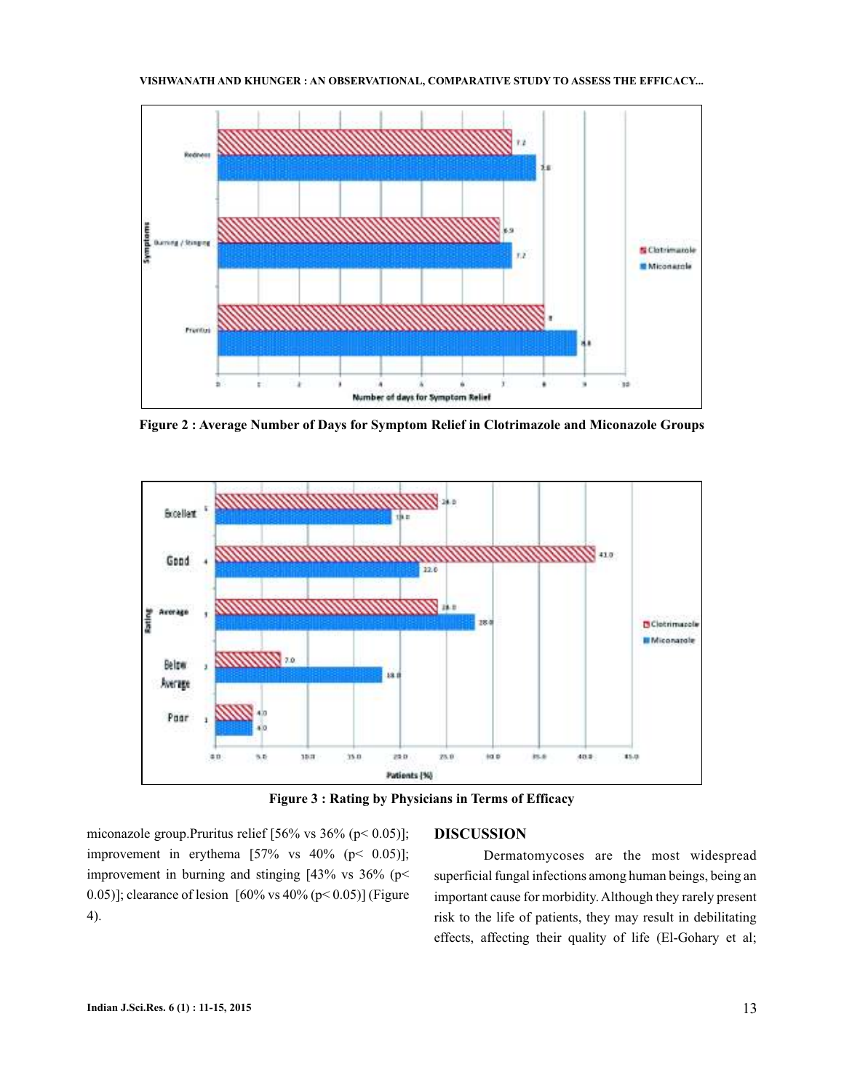#### **VISHWANATH KHUNGER AND : AN OBSERVATIONAL, COMPARATIVE STUDY TO ASSESS THE EFFICACY...**



**Figure 2 : Average Number of Days for Symptom Relief in Clotrimazole and Miconazole Groups**



**Figure 3 : Rating by Physicians in Terms of Efficacy**

miconazole group.Pruritus relief [56% vs 36% (p< 0.05)]; improvement in erythema  $[57\%$  vs  $40\%$  (p< 0.05)]; improvement in burning and stinging [43% vs 36% (p< 0.05)]; clearance of lesion  $[60\% \text{ vs } 40\% \text{ (p} < 0.05)]$  (Figure 4).

## **DISCUSSION**

Dermatomycoses are the most widespread superficial fungal infections among human beings, being an important cause for morbidity. Although they rarely present risk to the life of patients, they may result in debilitating effects, affecting their quality of life (El-Gohary et al;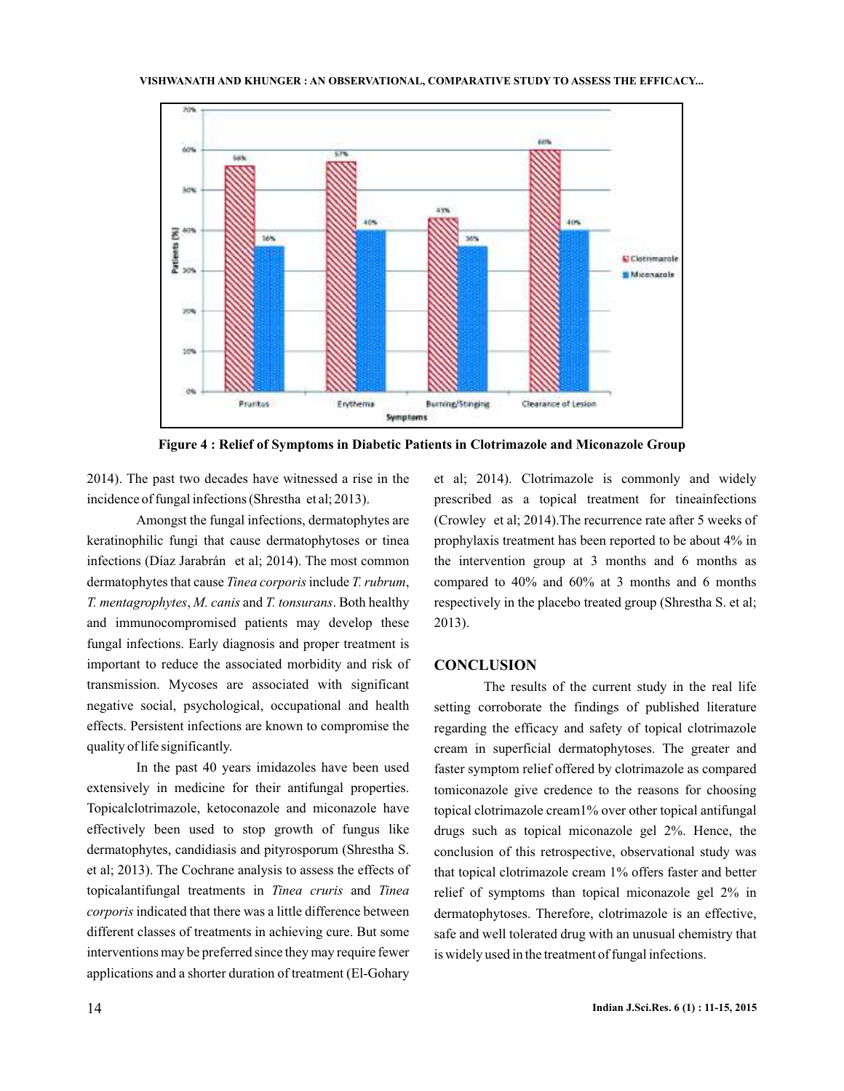

**Figure 4 : Relief of Symptoms in Diabetic Patients in Clotrimazole and Miconazole Group**

2014). The past two decades have witnessed a rise in the incidence of fungal infections (Shrestha et al; 2013).

Amongst the fungal infections, dermatophytes are keratinophilic fungi that cause dermatophytoses or tinea infections (Díaz Jarabrán et al; 2014). The most common dermatophytes that cause Tinea corporis include T. rubrum, *T. mentagrophytes, M. canis and T. tonsurans. Both healthy* and immunocompromised patients may develop these fungal infections. Early diagnosis and proper treatment is important to reduce the associated morbidity and risk of transmission. Mycoses are associated with significant negative social, psychological, occupational and health effects. Persistent infections are known to compromise the quality of life significantly.

In the past 40 years imidazoles have been used extensively in medicine for their antifungal properties. Topicalclotrimazole, ketoconazole and miconazole have effectively been used to stop growth of fungus like dermatophytes, candidiasis and pityrosporum (Shrestha S. et al; 2013). The Cochrane analysis to assess the effects of topicalantifungal treatments in Tinea cruris and Tinea corporis indicated that there was a little difference between different classes of treatments in achieving cure. But some interventions may be preferred since they may require fewer applications and a shorter duration of treatment (El-Gohary

et al; 2014). Clotrimazole is commonly and widely prescribed as a topical treatment for tineainfections (Crowley et al; 2014).The recurrence rate after 5 weeks of prophylaxis treatment has been reported to be about 4% in the intervention group at 3 months and 6 months as compared to 40% and 60% at 3 months and 6 months respectively in the placebo treated group (Shrestha S. et al; 2013).

### **CONCLUSION**

The results of the current study in the real life setting corroborate the findings of published literature regarding the efficacy and safety of topical clotrimazole cream in superficial dermatophytoses. The greater and faster symptom relief offered by clotrimazole as compared tomiconazole give credence to the reasons for choosing topical clotrimazole cream1% over other topical antifungal drugs such as topical miconazole gel 2%. Hence, the conclusion of this retrospective, observational study was that topical clotrimazole cream 1% offers faster and better relief of symptoms than topical miconazole gel 2% in dermatophytoses. Therefore, clotrimazole is an effective, safe and well tolerated drug with an unusual chemistry that is widely used in the treatment of fungal infections.